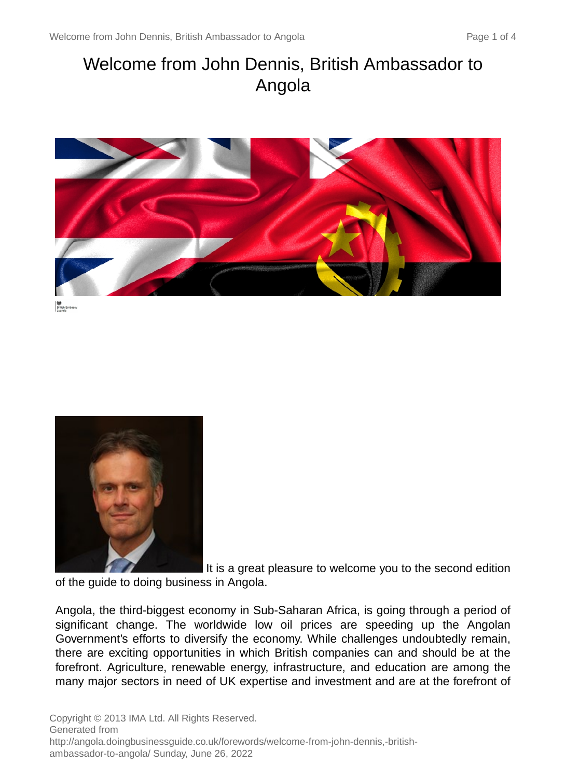# Welcome from John Dennis, British Ambassador to Angola





It is a great pleasure to welcome you to the second edition of the guide to doing business in Angola.

Angola, the third-biggest economy in Sub-Saharan Africa, is going through a period of significant change. The worldwide low oil prices are speeding up the Angolan Government's efforts to diversify the economy. While challenges undoubtedly remain, there are exciting opportunities in which British companies can and should be at the forefront. Agriculture, renewable energy, infrastructure, and education are among the many major sectors in need of UK expertise and investment and are at the forefront of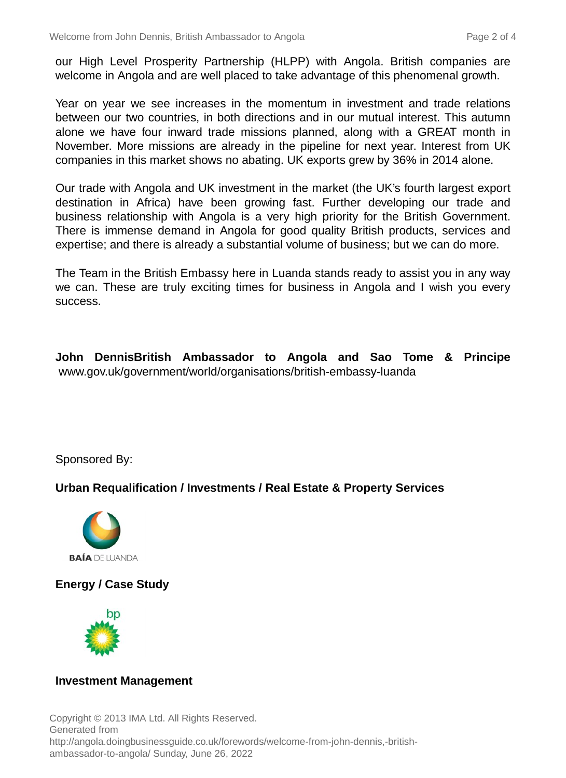our High Level Prosperity Partnership (HLPP) with Angola. British companies are welcome in Angola and are well placed to take advantage of this phenomenal growth.

Year on year we see increases in the momentum in investment and trade relations between our two countries, in both directions and in our mutual interest. This autumn alone we have four inward trade missions planned, along with a GREAT month in November. More missions are already in the pipeline for next year. Interest from UK companies in this market shows no abating. UK exports grew by 36% in 2014 alone.

Our trade with Angola and UK investment in the market (the UK's fourth largest export destination in Africa) have been growing fast. Further developing our trade and business relationship with Angola is a very high priority for the British Government. There is immense demand in Angola for good quality British products, services and expertise; and there is already a substantial volume of business; but we can do more.

The Team in the British Embassy here in Luanda stands ready to assist you in any way we can. These are truly exciting times for business in Angola and I wish you every success.

**John DennisBritish Ambassador to Angola and Sao Tome & Principe** www.gov.uk/government/world/organisations/british-embassy-luanda

Sponsored By:

### **Urban Requalification / Investments / Real Estate & Property Services**



## **Energy / Case Study**



#### **Investment Management**

Copyright © 2013 IMA Ltd. All Rights Reserved. Generated from http://angola.doingbusinessguide.co.uk/forewords/welcome-from-john-dennis,-britishambassador-to-angola/ Sunday, June 26, 2022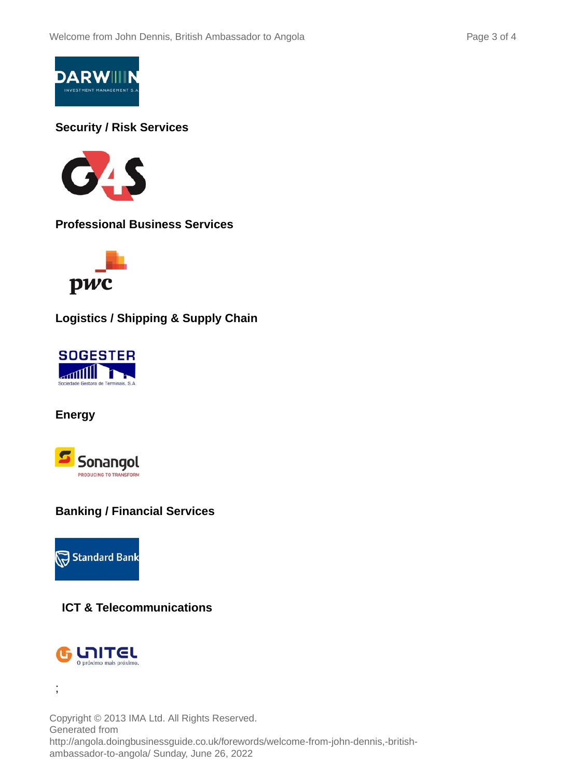

## **Security / Risk Services**



**Professional Business Services**



**Logistics / Shipping & Supply Chain**



**Energy**



## **Banking / Financial Services**



## **ICT & Telecommunications**



;

Copyright © 2013 IMA Ltd. All Rights Reserved. Generated from http://angola.doingbusinessguide.co.uk/forewords/welcome-from-john-dennis,-britishambassador-to-angola/ Sunday, June 26, 2022